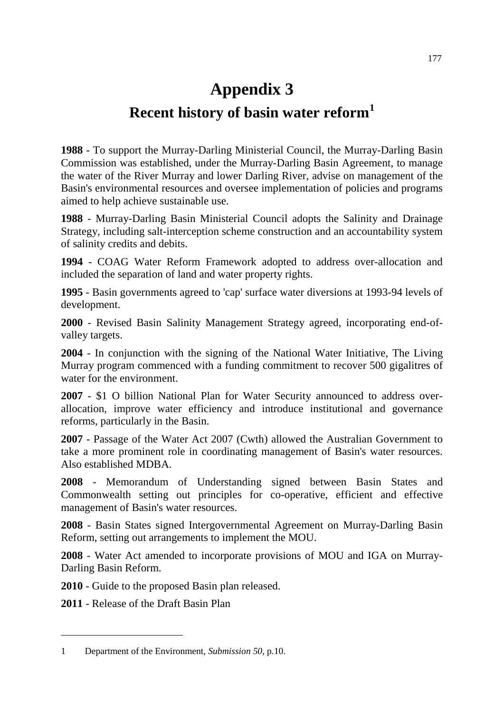## **Appendix 3**

## **Recent history of basin water reform[1](#page-0-0)**

**1988** - To support the Murray-Darling Ministerial Council, the Murray-Darling Basin Commission was established, under the Murray-Darling Basin Agreement, to manage the water of the River Murray and lower Darling River, advise on management of the Basin's environmental resources and oversee implementation of policies and programs aimed to help achieve sustainable use.

**1988** - Murray-Darling Basin Ministerial Council adopts the Salinity and Drainage Strategy, including salt-interception scheme construction and an accountability system of salinity credits and debits.

**1994** - COAG Water Reform Framework adopted to address over-allocation and included the separation of land and water property rights.

**1995** - Basin governments agreed to 'cap' surface water diversions at 1993-94 levels of development.

**2000** - Revised Basin Salinity Management Strategy agreed, incorporating end-ofvalley targets.

**2004** - In conjunction with the signing of the National Water Initiative, The Living Murray program commenced with a funding commitment to recover 500 gigalitres of water for the environment.

**2007** - \$1 O billion National Plan for Water Security announced to address overallocation, improve water efficiency and introduce institutional and governance reforms, particularly in the Basin.

**2007** - Passage of the Water Act 2007 (Cwth) allowed the Australian Government to take a more prominent role in coordinating management of Basin's water resources. Also established MDBA.

**2008** - Memorandum of Understanding signed between Basin States and Commonwealth setting out principles for co-operative, efficient and effective management of Basin's water resources.

**2008** - Basin States signed Intergovernmental Agreement on Murray-Darling Basin Reform, setting out arrangements to implement the MOU.

**2008** - Water Act amended to incorporate provisions of MOU and IGA on Murray-Darling Basin Reform.

**2010** - Guide to the proposed Basin plan released.

**2011** - Release of the Draft Basin Plan

-

<span id="page-0-0"></span><sup>1</sup> Department of the Environment, *Submission 50,* p.10.